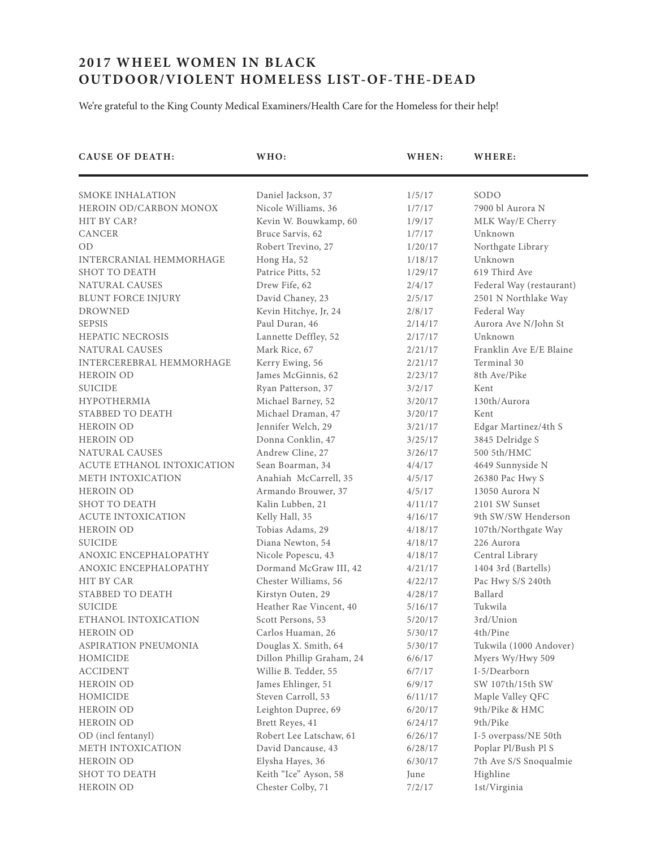## **2017 WHEEL WOMEN IN BLACK OUTDOOR/VIOLENT HOMELESS LIST-OF-THE-DEAD**

We're grateful to the King County Medical Examiners/Health Care for the Homeless for their help!

| <b>CAUSE OF DEATH:</b>     | WHO:                      | WHEN:   | WHERE:                   |
|----------------------------|---------------------------|---------|--------------------------|
| SMOKE INHALATION           | Daniel Jackson, 37        | 1/5/17  | SODO                     |
| HEROIN OD/CARBON MONOX     | Nicole Williams, 36       | 1/7/17  | 7900 bl Aurora N         |
| HIT BY CAR?                | Kevin W. Bouwkamp, 60     | 1/9/17  | MLK Way/E Cherry         |
| <b>CANCER</b>              | Bruce Sarvis, 62          | 1/7/17  | Unknown                  |
| <b>OD</b>                  | Robert Trevino, 27        | 1/20/17 | Northgate Library        |
| INTERCRANIAL HEMMORHAGE    | Hong Ha, 52               | 1/18/17 | Unknown                  |
| <b>SHOT TO DEATH</b>       | Patrice Pitts, 52         | 1/29/17 | 619 Third Ave            |
| NATURAL CAUSES             | Drew Fife, 62             | 2/4/17  | Federal Way (restaurant) |
| <b>BLUNT FORCE INJURY</b>  | David Chaney, 23          | 2/5/17  | 2501 N Northlake Way     |
| <b>DROWNED</b>             | Kevin Hitchye, Jr, 24     | 2/8/17  | Federal Way              |
| <b>SEPSIS</b>              | Paul Duran, 46            | 2/14/17 | Aurora Ave N/John St     |
| <b>HEPATIC NECROSIS</b>    | Lannette Deffley, 52      | 2/17/17 | Unknown                  |
| NATURAL CAUSES             | Mark Rice, 67             | 2/21/17 | Franklin Ave E/E Blaine  |
| INTERCEREBRAL HEMMORHAGE   | Kerry Ewing, 56           | 2/21/17 | Terminal 30              |
| <b>HEROIN OD</b>           | James McGinnis, 62        | 2/23/17 | 8th Ave/Pike             |
| <b>SUICIDE</b>             | Ryan Patterson, 37        | 3/2/17  | Kent                     |
| <b>HYPOTHERMIA</b>         | Michael Barney, 52        | 3/20/17 | 130th/Aurora             |
| STABBED TO DEATH           | Michael Draman, 47        | 3/20/17 | Kent                     |
| <b>HEROIN OD</b>           | Jennifer Welch, 29        | 3/21/17 | Edgar Martinez/4th S     |
| <b>HEROIN OD</b>           | Donna Conklin, 47         | 3/25/17 | 3845 Delridge S          |
| NATURAL CAUSES             | Andrew Cline, 27          | 3/26/17 | 500 5th/HMC              |
| ACUTE ETHANOL INTOXICATION | Sean Boarman, 34          | 4/4/17  | 4649 Sunnyside N         |
| METH INTOXICATION          | Anahiah McCarrell, 35     | 4/5/17  | 26380 Pac Hwy S          |
| <b>HEROIN OD</b>           | Armando Brouwer, 37       | 4/5/17  | 13050 Aurora N           |
| SHOT TO DEATH              | Kalin Lubben, 21          | 4/11/17 | 2101 SW Sunset           |
| <b>ACUTE INTOXICATION</b>  | Kelly Hall, 35            | 4/16/17 | 9th SW/SW Henderson      |
| <b>HEROIN OD</b>           | Tobias Adams, 29          | 4/18/17 | 107th/Northgate Way      |
| <b>SUICIDE</b>             | Diana Newton, 54          | 4/18/17 | 226 Aurora               |
| ANOXIC ENCEPHALOPATHY      | Nicole Popescu, 43        | 4/18/17 | Central Library          |
| ANOXIC ENCEPHALOPATHY      | Dormand McGraw III, 42    | 4/21/17 | 1404 3rd (Bartells)      |
| <b>HIT BY CAR</b>          | Chester Williams, 56      | 4/22/17 | Pac Hwy S/S 240th        |
| STABBED TO DEATH           | Kirstyn Outen, 29         | 4/28/17 | Ballard                  |
| <b>SUICIDE</b>             | Heather Rae Vincent, 40   | 5/16/17 | Tukwila                  |
| ETHANOL INTOXICATION       | Scott Persons, 53         | 5/20/17 | 3rd/Union                |
| HEROIN OD                  | Carlos Huaman, 26         | 5/30/17 | 4th/Pine                 |
| ASPIRATION PNEUMONIA       | Douglas X. Smith, 64      | 5/30/17 | Tukwila (1000 Andover)   |
| HOMICIDE                   | Dillon Phillip Graham, 24 | 6/6/17  | Myers Wy/Hwy 509         |
| <b>ACCIDENT</b>            | Willie B. Tedder, 55      | 6/7/17  | I-5/Dearborn             |
| HEROIN OD                  | James Ehlinger, 51        | 6/9/17  | SW 107th/15th SW         |
| HOMICIDE                   | Steven Carroll, 53        | 6/11/17 | Maple Valley QFC         |
| <b>HEROIN OD</b>           | Leighton Dupree, 69       | 6/20/17 | 9th/Pike & HMC           |
| <b>HEROIN OD</b>           | Brett Reyes, 41           | 6/24/17 | 9th/Pike                 |
| OD (incl fentanyl)         | Robert Lee Latschaw, 61   | 6/26/17 | I-5 overpass/NE 50th     |
| METH INTOXICATION          | David Dancause, 43        | 6/28/17 | Poplar Pl/Bush Pl S      |
| <b>HEROIN OD</b>           | Elysha Hayes, 36          | 6/30/17 | 7th Ave S/S Snoqualmie   |
| SHOT TO DEATH              | Keith "Ice" Ayson, 58     | June    | Highline                 |
| HEROIN OD                  | Chester Colby, 71         | 7/2/17  | 1st/Virginia             |